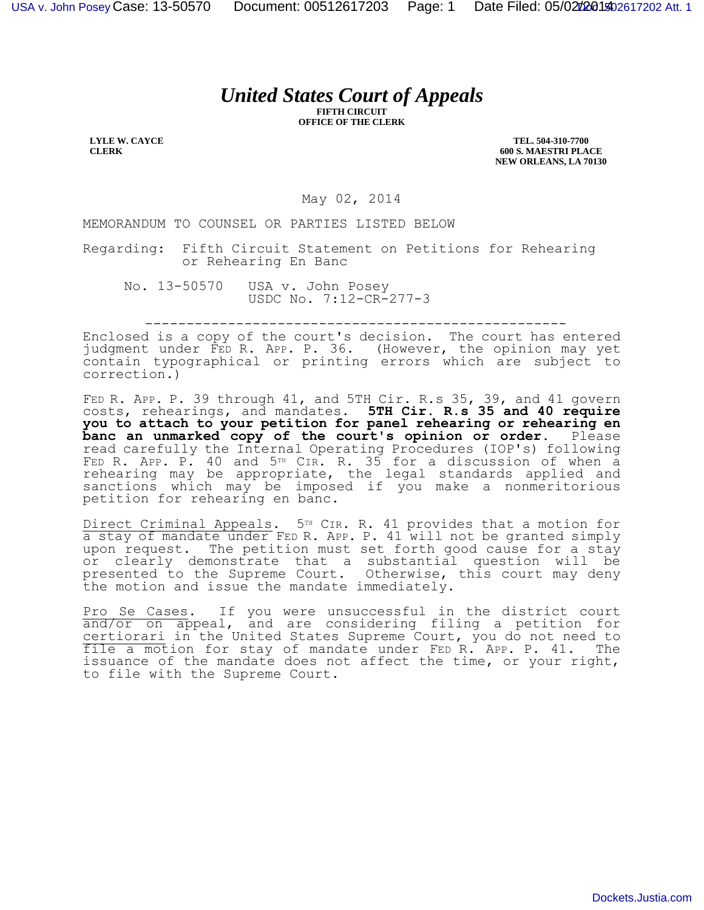## *United States Court of Appeals*

**FIFTH CIRCUIT OFFICE OF THE CLERK**

**LYLE W. CAYCE CLERK**

**TEL. 504-310-7700 600 S. MAESTRI PLACE NEW ORLEANS, LA 70130**

May 02, 2014

MEMORANDUM TO COUNSEL OR PARTIES LISTED BELOW

Regarding: Fifth Circuit Statement on Petitions for Rehearing or Rehearing En Banc

No. 13-50570 USA v. John Posey USDC No. 7:12-CR-277-3

---------------------------------------------------

Enclosed is a copy of the court's decision. The court has entered judgment under FED R. APP. P. 36. (However, the opinion may yet contain typographical or printing errors which are subject to correction.)

FED R. APP. P. 39 through 41, and 5TH Cir. R.s 35, 39, and 41 govern costs, rehearings, and mandates. **5TH Cir. R.s 35 and 40 require you to attach to your petition for panel rehearing or rehearing en banc an unmarked copy of the court's opinion or order.** Please read carefully the Internal Operating Procedures (IOP's) following FED R. APP. P. 40 and 5<sup>TH</sup> CIR. R. 35 for a discussion of when a rehearing may be appropriate, the legal standards applied and sanctions which may be imposed if you make a nonmeritorious petition for rehearing en banc.

Direct Criminal Appeals. 5<sup>TH</sup> CIR. R. 41 provides that a motion for a stay of mandate under FED R. APP. P. 41 will not be granted simply upon request. The petition must set forth good cause for a stay or clearly demonstrate that a substantial question will be presented to the Supreme Court. Otherwise, this court may deny the motion and issue the mandate immediately.

Pro Se Cases. If you were unsuccessful in the district court and/or on appeal, and are considering filing a petition for certiorari in the United States Supreme Court, you do not need to file a motion for stay of mandate under FED R. APP. P. 41. The issuance of the mandate does not affect the time, or your right, to file with the Supreme Court.